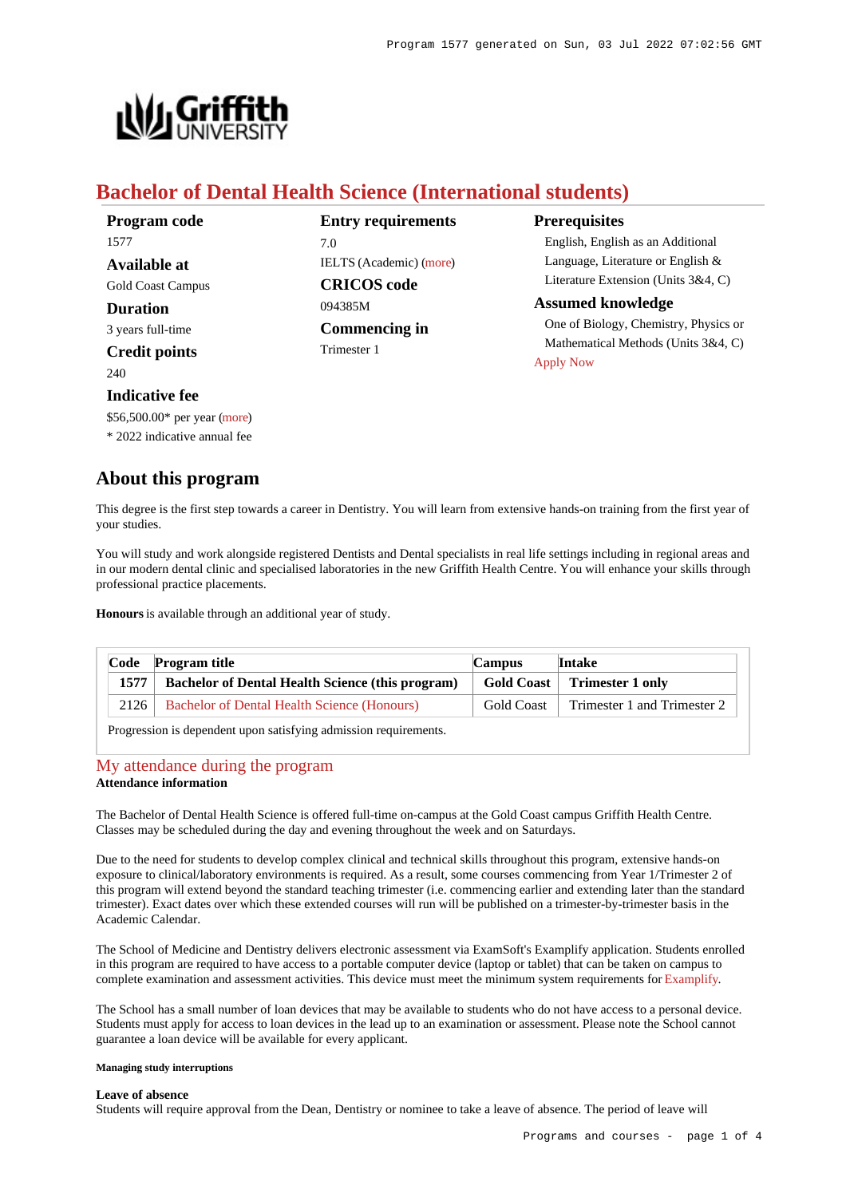

# **Bachelor of Dental Health Science (International students)**

| Program code             | <b>Entry requirements</b>      | <b>Prerequisites</b>                   |
|--------------------------|--------------------------------|----------------------------------------|
| 1577                     | 7.0                            | English, English as an Additional      |
| Available at             | <b>IELTS</b> (Academic) (more) | Language, Literature or English $&$    |
| <b>Gold Coast Campus</b> | <b>CRICOS</b> code             | Literature Extension (Units $3&4, C$ ) |
| <b>Duration</b>          | 094385M                        | <b>Assumed knowledge</b>               |
| 3 years full-time        | Commencing in                  | One of Biology, Chemistry, Physics or  |
| <b>Credit points</b>     | Trimester 1                    | Mathematical Methods (Units 3&4, C)    |
| 240                      |                                | <b>Apply Now</b>                       |
| Indicative fee           |                                |                                        |

**About this program**

\$56,500.00\* per year [\(more](https://www148.griffith.edu.au/programs-courses/Program/1577/Overview/International#fees)) \* 2022 indicative annual fee

This degree is the first step towards a career in Dentistry. You will learn from extensive hands-on training from the first year of your studies.

You will study and work alongside registered Dentists and Dental specialists in real life settings including in regional areas and in our modern dental clinic and specialised laboratories in the new Griffith Health Centre. You will enhance your skills through professional practice placements.

**Honours** is available through an additional year of study.

| Code | Program title                                           | <b>Campus</b>     | <b>Intake</b>                 |
|------|---------------------------------------------------------|-------------------|-------------------------------|
| 1577 | <b>Bachelor of Dental Health Science (this program)</b> |                   | Gold Coast   Trimester 1 only |
| 2126 | <b>Bachelor of Dental Health Science (Honours)</b>      | <b>Gold Coast</b> | Trimester 1 and Trimester 2   |

Progression is dependent upon satisfying admission requirements.

# [My attendance during the program](https://www148.griffith.edu.au/programs-courses/Program/1577/Overview/International#attendance)

# **Attendance information**

The Bachelor of Dental Health Science is offered full-time on-campus at the Gold Coast campus Griffith Health Centre. Classes may be scheduled during the day and evening throughout the week and on Saturdays.

Due to the need for students to develop complex clinical and technical skills throughout this program, extensive hands-on exposure to clinical/laboratory environments is required. As a result, some courses commencing from Year 1/Trimester 2 of this program will extend beyond the standard teaching trimester (i.e. commencing earlier and extending later than the standard trimester). Exact dates over which these extended courses will run will be published on a trimester-by-trimester basis in the Academic Calendar.

The School of Medicine and Dentistry delivers electronic assessment via ExamSoft's Examplify application. Students enrolled in this program are required to have access to a portable computer device (laptop or tablet) that can be taken on campus to complete examination and assessment activities. This device must meet the minimum system requirements for [Examplify](https://examsoft.com/resources/examplify-minimum-system-requirements/).

The School has a small number of loan devices that may be available to students who do not have access to a personal device. Students must apply for access to loan devices in the lead up to an examination or assessment. Please note the School cannot guarantee a loan device will be available for every applicant.

### **Managing study interruptions**

## **Leave of absence**

Students will require approval from the Dean, Dentistry or nominee to take a leave of absence. The period of leave will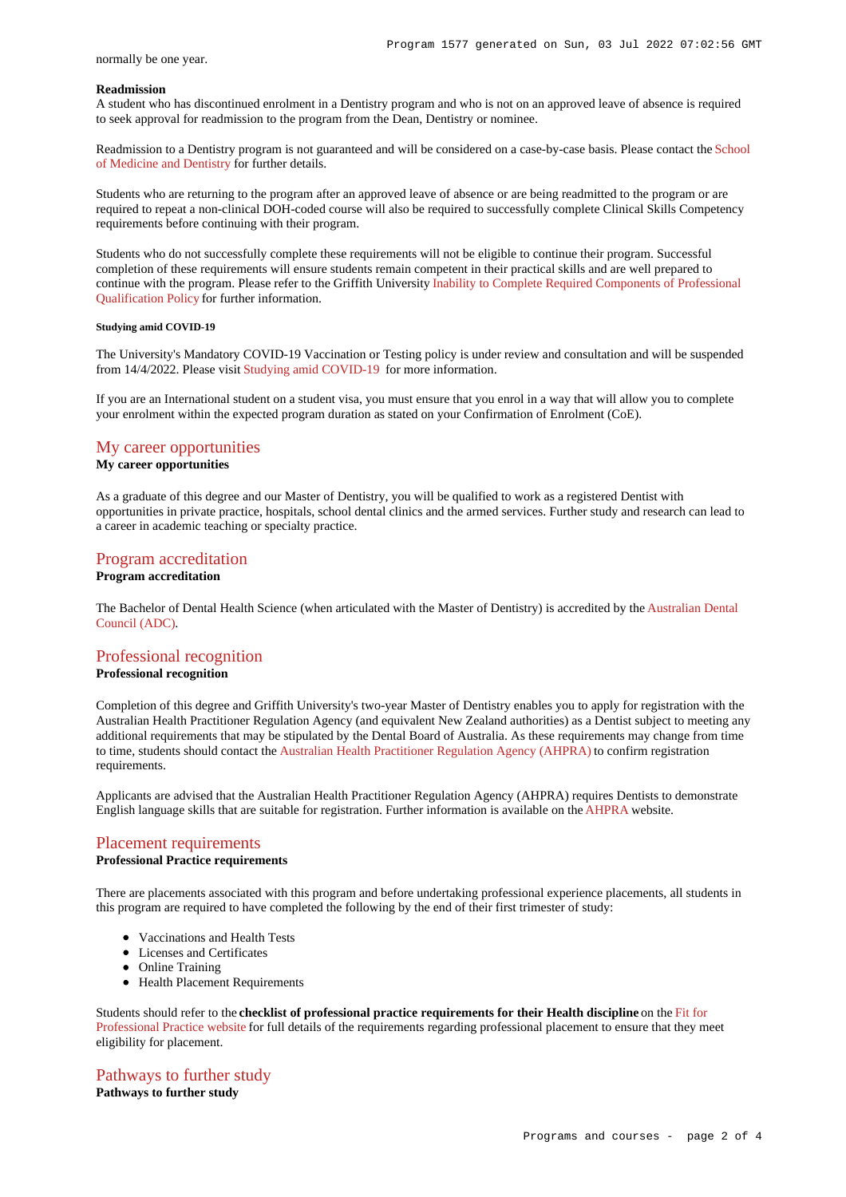### normally be one year.

#### **Readmission**

A student who has discontinued enrolment in a Dentistry program and who is not on an approved leave of absence is required to seek approval for readmission to the program from the Dean, Dentistry or nominee.

Readmission to a Dentistry program is not guaranteed and will be considered on a case-by-case basis. Please contact the [School](https://www.griffith.edu.au/griffith-health/school-medicine-dentistry) [of Medicine and Dentistry](https://www.griffith.edu.au/griffith-health/school-medicine-dentistry) for further details.

Students who are returning to the program after an approved leave of absence or are being readmitted to the program or are required to repeat a non-clinical DOH-coded course will also be required to successfully complete Clinical Skills Competency requirements before continuing with their program.

Students who do not successfully complete these requirements will not be eligible to continue their program. Successful completion of these requirements will ensure students remain competent in their practical skills and are well prepared to continue with the program. Please refer to the Griffith University [Inability to Complete Required Components of Professional](http://policies.griffith.edu.au/pdf/Inability to Complete Required Components of Professional Qualification Policy.pdf) [Qualification Policy](http://policies.griffith.edu.au/pdf/Inability to Complete Required Components of Professional Qualification Policy.pdf) for further information.

#### **Studying amid COVID-19**

The University's Mandatory COVID-19 Vaccination or Testing policy is under review and consultation and will be suspended from 14/4/2022. Please visit [Studying amid COVID-19](https://www.griffith.edu.au/coronavirus/studying-amid-covid-19) for more information.

If you are an International student on a student visa, you must ensure that you enrol in a way that will allow you to complete your enrolment within the expected program duration as stated on your Confirmation of Enrolment (CoE).

# [My career opportunities](https://www148.griffith.edu.au/programs-courses/Program/1577/Overview/International#opportunities)

# **My career opportunities**

As a graduate of this degree and our Master of Dentistry, you will be qualified to work as a registered Dentist with opportunities in private practice, hospitals, school dental clinics and the armed services. Further study and research can lead to a career in academic teaching or specialty practice.

# [Program accreditation](https://www148.griffith.edu.au/programs-courses/Program/1577/Overview/International#accreditation)

#### **Program accreditation**

The Bachelor of Dental Health Science (when articulated with the Master of Dentistry) is accredited by the [Australian Dental](http://www.adc.org.au/) [Council \(ADC\)](http://www.adc.org.au/).

# [Professional recognition](https://www148.griffith.edu.au/programs-courses/Program/1577/Overview/International#recognition)

#### **Professional recognition**

Completion of this degree and Griffith University's two-year Master of Dentistry enables you to apply for registration with the Australian Health Practitioner Regulation Agency (and equivalent New Zealand authorities) as a Dentist subject to meeting any additional requirements that may be stipulated by the Dental Board of Australia. As these requirements may change from time to time, students should contact the [Australian Health Practitioner Regulation Agency \(AHPRA\)](https://www.ahpra.gov.au/) to confirm registration requirements.

Applicants are advised that the Australian Health Practitioner Regulation Agency (AHPRA) requires Dentists to demonstrate English language skills that are suitable for registration. Further information is available on the [AHPRA](https://www.ahpra.gov.au/registration/registration-standards/english-language-skills.aspx) website.

## [Placement requirements](https://www148.griffith.edu.au/programs-courses/Program/1577/Overview/International#placement)

# **Professional Practice requirements**

There are placements associated with this program and before undertaking professional experience placements, all students in this program are required to have completed the following by the end of their first trimester of study:

- Vaccinations and Health Tests
- Licenses and Certificates
- Online Training
- Health Placement Requirements

Students should refer to the **checklist of professional practice requirements for their Health discipline** on the [Fit for](https://www.griffith.edu.au/griffith-health/fit-for-professional-practice) [Professional Practice website](https://www.griffith.edu.au/griffith-health/fit-for-professional-practice) for full details of the requirements regarding professional placement to ensure that they meet eligibility for placement.

# [Pathways to further study](https://www148.griffith.edu.au/programs-courses/Program/1577/Overview/International#pathways) **Pathways to further study**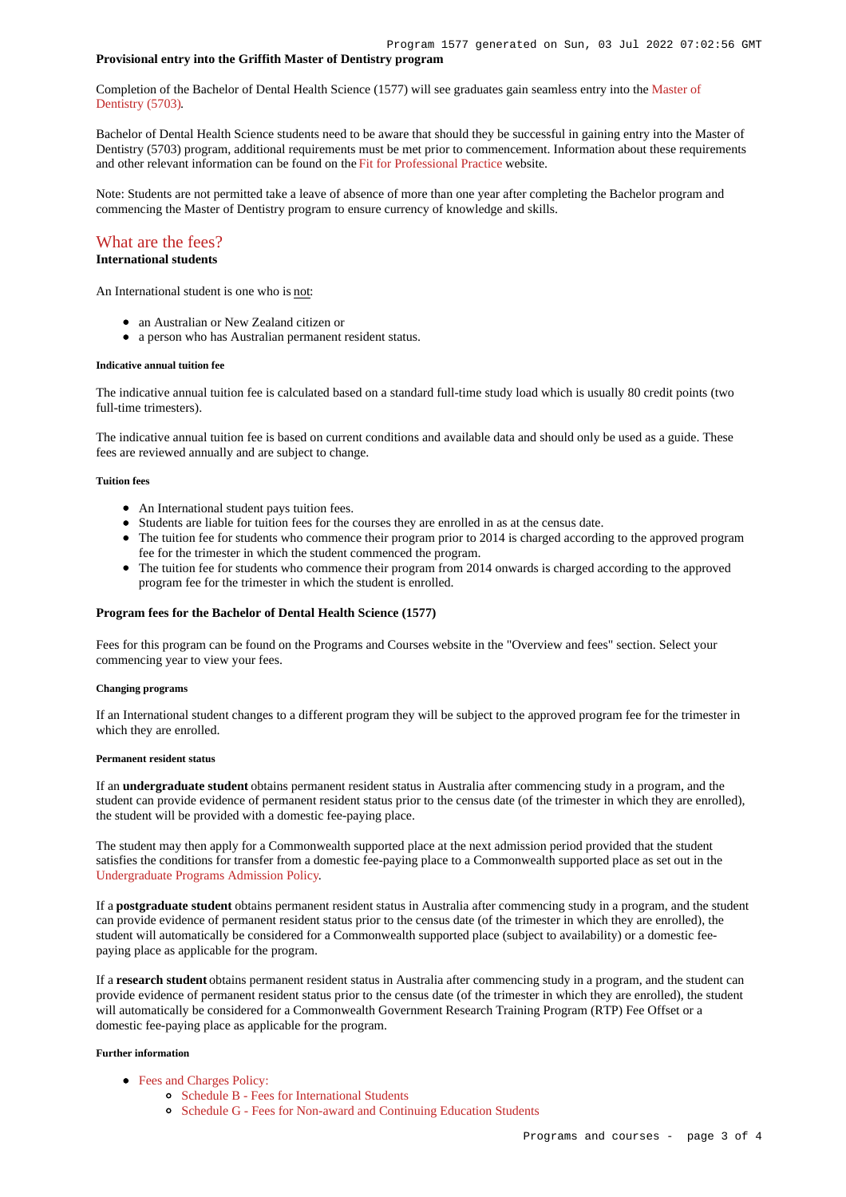# **Provisional entry into the Griffith Master of Dentistry program**

Completion of the Bachelor of Dental Health Science (1577) will see graduates gain seamless entry into the [Master of](https://www148.griffith.edu.au/Search/Results?SearchText=5703) [Dentistry \(5703\)](https://www148.griffith.edu.au/Search/Results?SearchText=5703).

Bachelor of Dental Health Science students need to be aware that should they be successful in gaining entry into the Master of Dentistry (5703) program, additional requirements must be met prior to commencement. Information about these requirements and other relevant information can be found on the [Fit for Professional Practice](https://www.griffith.edu.au/griffith-health/fit-for-professional-practice) website.

Note: Students are not permitted take a leave of absence of more than one year after completing the Bachelor program and commencing the Master of Dentistry program to ensure currency of knowledge and skills.

# [What are the fees?](https://www148.griffith.edu.au/programs-courses/Program/1577/Overview/International#fees)

# **International students**

An International student is one who is not:

- an Australian or New Zealand citizen or
- a person who has Australian permanent resident status.

#### **Indicative annual tuition fee**

The indicative annual tuition fee is calculated based on a standard full-time study load which is usually 80 credit points (two full-time trimesters).

The indicative annual tuition fee is based on current conditions and available data and should only be used as a guide. These fees are reviewed annually and are subject to change.

#### **Tuition fees**

- An International student pays tuition fees.
- Students are liable for tuition fees for the courses they are enrolled in as at the census date.
- The tuition fee for students who commence their program prior to 2014 is charged according to the approved program fee for the trimester in which the student commenced the program.
- The tuition fee for students who commence their program from 2014 onwards is charged according to the approved program fee for the trimester in which the student is enrolled.

#### **Program fees for the Bachelor of Dental Health Science (1577)**

Fees for this program can be found on the Programs and Courses website in the "Overview and fees" section. Select your commencing year to view your fees.

#### **Changing programs**

If an International student changes to a different program they will be subject to the approved program fee for the trimester in which they are enrolled.

#### **Permanent resident status**

If an **undergraduate student** obtains permanent resident status in Australia after commencing study in a program, and the student can provide evidence of permanent resident status prior to the census date (of the trimester in which they are enrolled), the student will be provided with a domestic fee-paying place.

The student may then apply for a Commonwealth supported place at the next admission period provided that the student satisfies the conditions for transfer from a domestic fee-paying place to a Commonwealth supported place as set out in the [Undergraduate Programs Admission Policy](http://policies.griffith.edu.au/pdf/Undergraduate Programs Admission Policy.pdf).

If a **postgraduate student** obtains permanent resident status in Australia after commencing study in a program, and the student can provide evidence of permanent resident status prior to the census date (of the trimester in which they are enrolled), the student will automatically be considered for a Commonwealth supported place (subject to availability) or a domestic feepaying place as applicable for the program.

If a **research student** obtains permanent resident status in Australia after commencing study in a program, and the student can provide evidence of permanent resident status prior to the census date (of the trimester in which they are enrolled), the student will automatically be considered for a Commonwealth Government Research Training Program (RTP) Fee Offset or a domestic fee-paying place as applicable for the program.

#### **Further information**

- [Fees and Charges Policy:](https://policies.griffith.edu.au/pdf/Fees and Charges Policy.pdf)
	- [Schedule B Fees for International Students](https://policies.griffith.edu.au/pdf/Fees and Charges Policy Schedule B.pdf)
	- [Schedule G Fees for Non-award and Continuing Education Students](https://policies.griffith.edu.au/pdf/Fees and Charges Policy Schedule G.pdf)